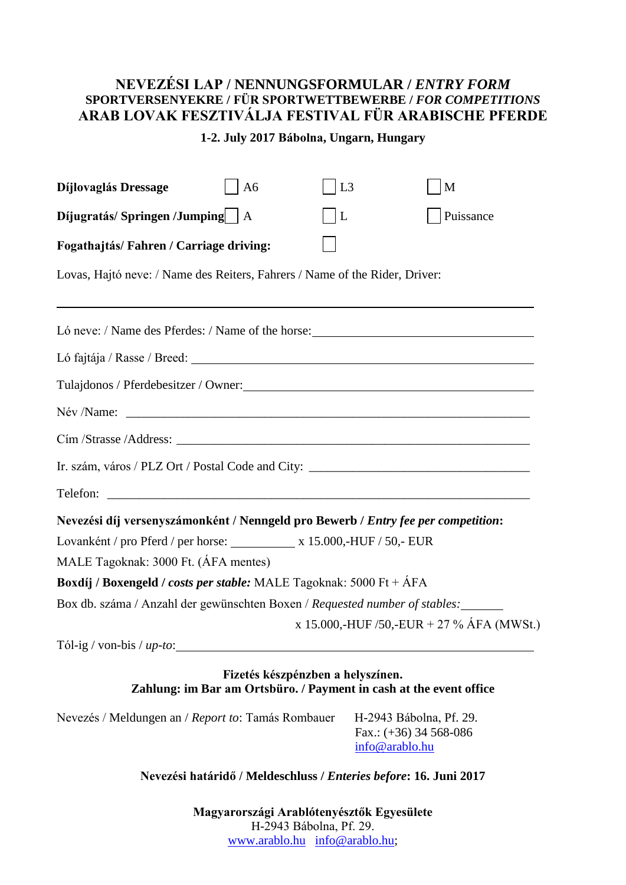## **NEVEZÉSI LAP / NENNUNGSFORMULAR /** *ENTRY FORM* **SPORTVERSENYEKRE / FÜR SPORTWETTBEWERBE /** *FOR COMPETITIONS* **ARAB LOVAK FESZTIVÁLJA FESTIVAL FÜR ARABISCHE PFERDE**

## **1-2. July 2017 Bábolna, Ungarn, Hungary**

| Díjlovaglás Dressage                                                                                           | A <sub>6</sub>                                                                                          | L3 |                                                                       | M                                         |
|----------------------------------------------------------------------------------------------------------------|---------------------------------------------------------------------------------------------------------|----|-----------------------------------------------------------------------|-------------------------------------------|
| Díjugratás/Springen/Jumping   A                                                                                |                                                                                                         | L  |                                                                       | Puissance                                 |
| Fogathajtás/Fahren / Carriage driving:                                                                         |                                                                                                         |    |                                                                       |                                           |
| Lovas, Hajtó neve: / Name des Reiters, Fahrers / Name of the Rider, Driver:                                    |                                                                                                         |    |                                                                       |                                           |
| Ló neve: / Name des Pferdes: / Name of the horse:                                                              |                                                                                                         |    |                                                                       |                                           |
| Ló fajtája / Rasse / Breed: 1999. 1999. 1999. 1999. 1999. 1999. 1999. 1999. 1999. 1999. 1999. 1999. 1999. 1999 |                                                                                                         |    |                                                                       |                                           |
| Tulajdonos / Pferdebesitzer / Owner:                                                                           |                                                                                                         |    |                                                                       |                                           |
|                                                                                                                |                                                                                                         |    |                                                                       |                                           |
|                                                                                                                |                                                                                                         |    |                                                                       |                                           |
| Ir. szám, város / PLZ Ort / Postal Code and City: _______________________________                              |                                                                                                         |    |                                                                       |                                           |
| Telefon:                                                                                                       |                                                                                                         |    |                                                                       |                                           |
| Nevezési díj versenyszámonként / Nenngeld pro Bewerb / Entry fee per competition:                              |                                                                                                         |    |                                                                       |                                           |
| Lovanként / pro Pferd / per horse: x 15.000,-HUF / 50,- EUR                                                    |                                                                                                         |    |                                                                       |                                           |
| MALE Tagoknak: 3000 Ft. (ÁFA mentes)                                                                           |                                                                                                         |    |                                                                       |                                           |
| Boxdíj / Boxengeld / costs per stable: MALE Tagoknak: 5000 Ft + ÁFA                                            |                                                                                                         |    |                                                                       |                                           |
| Box db. száma / Anzahl der gewünschten Boxen / Requested number of stables:                                    |                                                                                                         |    |                                                                       |                                           |
|                                                                                                                |                                                                                                         |    |                                                                       | x 15.000,-HUF /50,-EUR + 27 % ÁFA (MWSt.) |
| Tól-ig / von-bis / $up-to$ :                                                                                   |                                                                                                         |    |                                                                       |                                           |
|                                                                                                                | Fizetés készpénzben a helyszínen.<br>Zahlung: im Bar am Ortsbüro. / Payment in cash at the event office |    |                                                                       |                                           |
| Nevezés / Meldungen an / Report to: Tamás Rombauer                                                             |                                                                                                         |    | H-2943 Bábolna, Pf. 29.<br>Fax.: $(+36)$ 34 568-086<br>info@arablo.hu |                                           |

**Nevezési határidő / Meldeschluss /** *Enteries before***: 16. Juni 2017**

**Magyarországi Arablótenyésztők Egyesülete** H-2943 Bábolna, Pf. 29. www.arablo.hu info@arablo.hu;